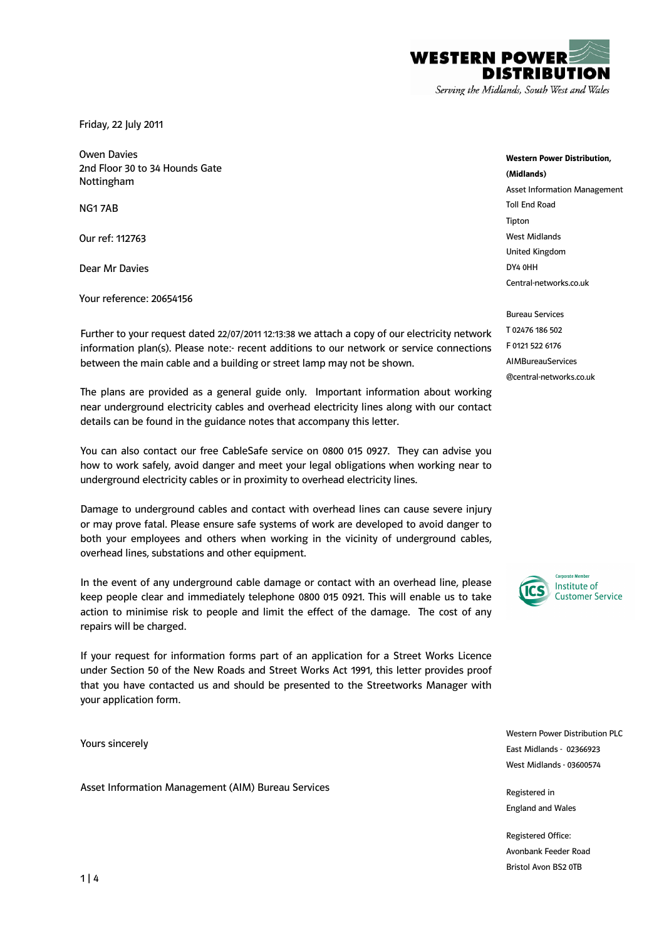

Serving the Midlands, South West and Wales

Friday, 22 July 2011

Owen Davies 2nd Floor 30 to 34 Hounds Gate Nottingham

NG1 7AB

Our ref: 112763

Dear Mr Davies

Your reference: 20654156

Further to your request dated 22/07/2011 12:13:38 we attach a copy of our electricity network information plan(s). Please note:- recent additions to our network or service connections between the main cable and a building or street lamp may not be shown.

The plans are provided as a general guide only. Important information about working near underground electricity cables and overhead electricity lines along with our contact details can be found in the guidance notes that accompany this letter.

You can also contact our free CableSafe service on 0800 015 0927. They can advise you how to work safely, avoid danger and meet your legal obligations when working near to underground electricity cables or in proximity to overhead electricity lines.

Damage to underground cables and contact with overhead lines can cause severe injury or may prove fatal. Please ensure safe systems of work are developed to avoid danger to both your employees and others when working in the vicinity of underground cables, overhead lines, substations and other equipment.

In the event of any underground cable damage or contact with an overhead line, please keep people clear and immediately telephone 0800 015 0921. This will enable us to take action to minimise risk to people and limit the effect of the damage. The cost of any repairs will be charged.

If your request for information forms part of an application for a Street Works Licence under Section 50 of the New Roads and Street Works Act 1991, this letter provides proof that you have contacted us and should be presented to the Streetworks Manager with your application form.

Yours sincerely

Asset Information Management (AIM) Bureau Services

Western Power Distribution, (Midlands) Asset Information Management Toll End Road Tipton West Midlands United Kingdom DY4 0HH Central-networks.co.uk

Bureau Services T 02476 186 502 F 0121 522 6176 AIMBureauServices @central-networks.co.uk



Western Power Distribution PLC East Midlands - 02366923 West Midlands - 03600574

Registered in England and Wales

Registered Office: Avonbank Feeder Road Bristol Avon BS2 0TB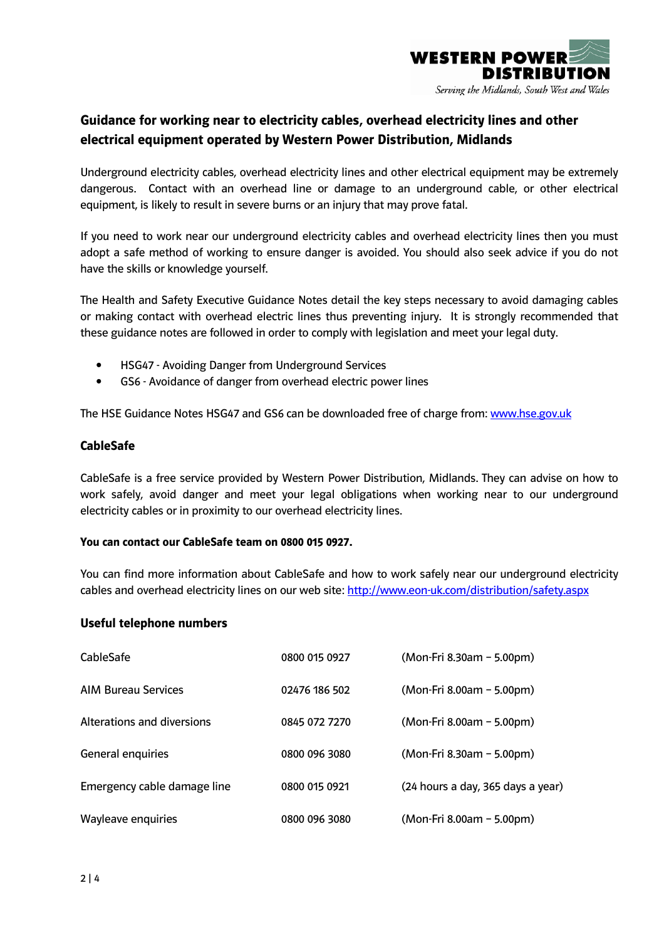

# Guidance for working near to electricity cables, overhead electricity lines and other electrical equipment operated by Western Power Distribution, Midlands

Underground electricity cables, overhead electricity lines and other electrical equipment may be extremely dangerous. Contact with an overhead line or damage to an underground cable, or other electrical equipment, is likely to result in severe burns or an injury that may prove fatal.

If you need to work near our underground electricity cables and overhead electricity lines then you must adopt a safe method of working to ensure danger is avoided. You should also seek advice if you do not have the skills or knowledge yourself.

The Health and Safety Executive Guidance Notes detail the key steps necessary to avoid damaging cables or making contact with overhead electric lines thus preventing injury. It is strongly recommended that these guidance notes are followed in order to comply with legislation and meet your legal duty.

- HSG47 Avoiding Danger from Underground Services
- GS6 Avoidance of danger from overhead electric power lines

The HSE Guidance Notes HSG47 and GS6 can be downloaded free of charge from: www.hse.gov.uk

## CableSafe

CableSafe is a free service provided by Western Power Distribution, Midlands. They can advise on how to work safely, avoid danger and meet your legal obligations when working near to our underground electricity cables or in proximity to our overhead electricity lines.

#### You can contact our CableSafe team on 0800 015 0927.

You can find more information about CableSafe and how to work safely near our underground electricity cables and overhead electricity lines on our web site: http://www.eon-uk.com/distribution/safety.aspx

## Useful telephone numbers

| CableSafe                   | 0800 015 0927 | (Mon-Fri 8.30am - 5.00pm)         |  |
|-----------------------------|---------------|-----------------------------------|--|
| <b>AIM Bureau Services</b>  | 02476 186 502 | (Mon-Fri 8.00am - 5.00pm)         |  |
| Alterations and diversions  | 0845 072 7270 | (Mon-Fri 8.00am - 5.00pm)         |  |
| General enquiries           | 0800 096 3080 | (Mon-Fri 8.30am - 5.00pm)         |  |
| Emergency cable damage line | 0800 015 0921 | (24 hours a day, 365 days a year) |  |
| Wayleave enquiries          | 0800 096 3080 | (Mon-Fri 8.00am - 5.00pm)         |  |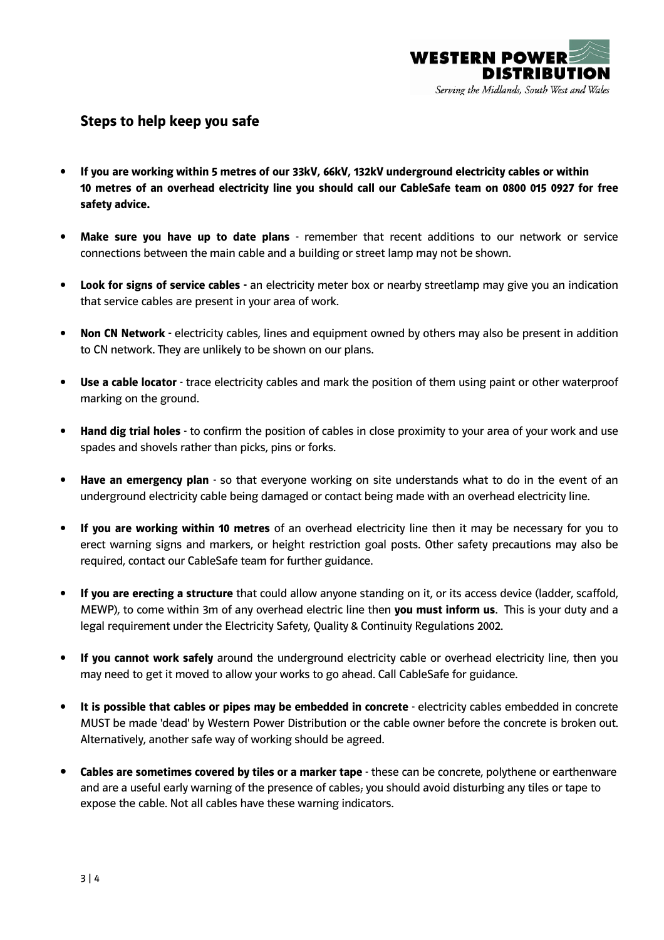

## Steps to help keep you safe

- If you are working within 5 metres of our 33kV, 66kV, 132kV underground electricity cables or within 10 metres of an overhead electricity line you should call our CableSafe team on 0800 015 0927 for free safety advice.
- Make sure you have up to date plans remember that recent additions to our network or service connections between the main cable and a building or street lamp may not be shown.
- **Look for signs of service cables** an electricity meter box or nearby streetlamp may give you an indication that service cables are present in your area of work.
- Non CN Network electricity cables, lines and equipment owned by others may also be present in addition to CN network. They are unlikely to be shown on our plans.
- Use a cable locator trace electricity cables and mark the position of them using paint or other waterproof marking on the ground.
- Hand dig trial holes to confirm the position of cables in close proximity to your area of your work and use spades and shovels rather than picks, pins or forks.
- Have an emergency plan so that everyone working on site understands what to do in the event of an underground electricity cable being damaged or contact being made with an overhead electricity line.
- If you are working within 10 metres of an overhead electricity line then it may be necessary for you to erect warning signs and markers, or height restriction goal posts. Other safety precautions may also be required, contact our CableSafe team for further guidance.
- If you are erecting a structure that could allow anyone standing on it, or its access device (ladder, scaffold, MEWP), to come within 3m of any overhead electric line then you must inform us. This is your duty and a legal requirement under the Electricity Safety, Quality & Continuity Regulations 2002.
- If you cannot work safely around the underground electricity cable or overhead electricity line, then you may need to get it moved to allow your works to go ahead. Call CableSafe for guidance.
- It is possible that cables or pipes may be embedded in concrete electricity cables embedded in concrete MUST be made 'dead' by Western Power Distribution or the cable owner before the concrete is broken out. Alternatively, another safe way of working should be agreed.
- Cables are sometimes covered by tiles or a marker tape these can be concrete, polythene or earthenware and are a useful early warning of the presence of cables; you should avoid disturbing any tiles or tape to expose the cable. Not all cables have these warning indicators.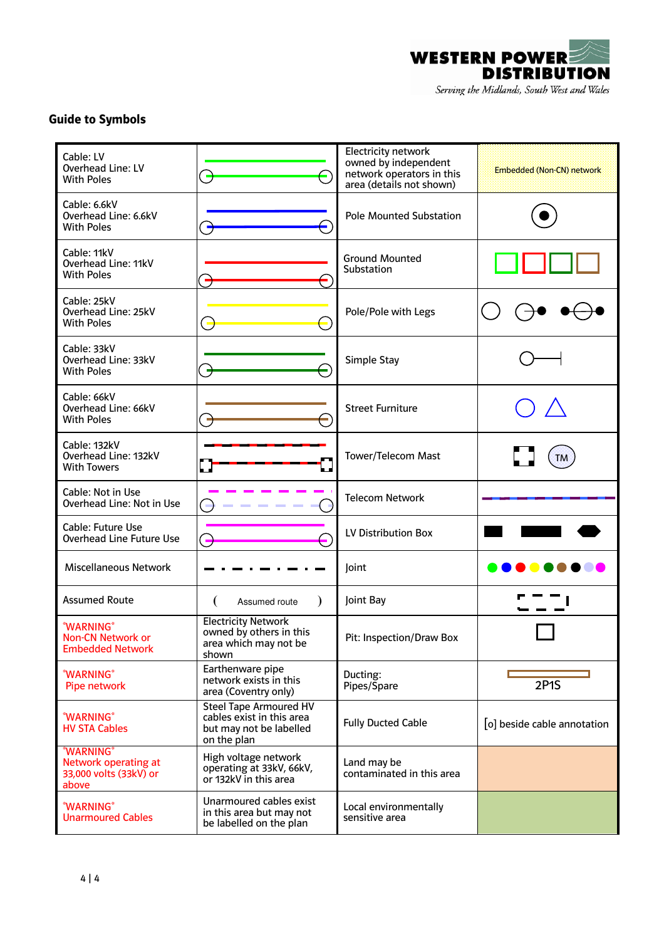

## Guide to Symbols

| Cable: LV<br><b>Overhead Line: LV</b><br><b>With Poles</b>                  | $\overline{\phantom{a}}$                                                                             | Electricity network<br>owned by independent<br>network operators in this<br>area (details not shown) | Embedded (Non-CN) network   |
|-----------------------------------------------------------------------------|------------------------------------------------------------------------------------------------------|------------------------------------------------------------------------------------------------------|-----------------------------|
| Cable: 6.6kV<br>Overhead Line: 6.6kV<br><b>With Poles</b>                   | 5                                                                                                    | <b>Pole Mounted Substation</b>                                                                       |                             |
| Cable: 11kV<br>Overhead Line: 11kV<br><b>With Poles</b>                     |                                                                                                      | <b>Ground Mounted</b><br>Substation                                                                  |                             |
| Cable: 25kV<br>Overhead Line: 25kV<br><b>With Poles</b>                     |                                                                                                      | Pole/Pole with Legs                                                                                  |                             |
| Cable: 33kV<br>Overhead Line: 33kV<br><b>With Poles</b>                     |                                                                                                      | Simple Stay                                                                                          |                             |
| Cable: 66kV<br>Overhead Line: 66kV<br><b>With Poles</b>                     | ÷,                                                                                                   | <b>Street Furniture</b>                                                                              |                             |
| Cable: 132kV<br>Overhead Line: 132kV<br><b>With Towers</b>                  |                                                                                                      | <b>Tower/Telecom Mast</b>                                                                            | TM                          |
| Cable: Not in Use<br>Overhead Line: Not in Use                              |                                                                                                      | <b>Telecom Network</b>                                                                               |                             |
| Cable: Future Use<br>Overhead Line Future Use                               | $\blacksquare$<br>G                                                                                  | LV Distribution Box                                                                                  |                             |
| <b>Miscellaneous Network</b>                                                |                                                                                                      | Joint                                                                                                |                             |
| <b>Assumed Route</b>                                                        | $\lambda$<br>€<br>Assumed route                                                                      | Joint Bay                                                                                            |                             |
| *WARNING*<br>Non-CN Network or<br><b>Embedded Network</b>                   | <b>Electricity Network</b><br>owned by others in this<br>area which may not be<br>shown              | Pit: Inspection/Draw Box                                                                             |                             |
| *WARNING*<br>Pipe network                                                   | Earthenware pipe<br>network exists in this<br>area (Coventry only)                                   | Ducting:<br>Pipes/Spare                                                                              | <b>2P1S</b>                 |
| *WARNING*<br><b>HV STA Cables</b>                                           | <b>Steel Tape Armoured HV</b><br>cables exist in this area<br>but may not be labelled<br>on the plan | <b>Fully Ducted Cable</b>                                                                            | [o] beside cable annotation |
| <b>*WARNING*</b><br>Network operating at<br>33,000 volts (33kV) or<br>above | High voltage network<br>operating at 33kV, 66kV,<br>or 132kV in this area                            | Land may be<br>contaminated in this area                                                             |                             |
| *WARNING*<br><b>Unarmoured Cables</b>                                       | Unarmoured cables exist<br>in this area but may not<br>be labelled on the plan                       | Local environmentally<br>sensitive area                                                              |                             |